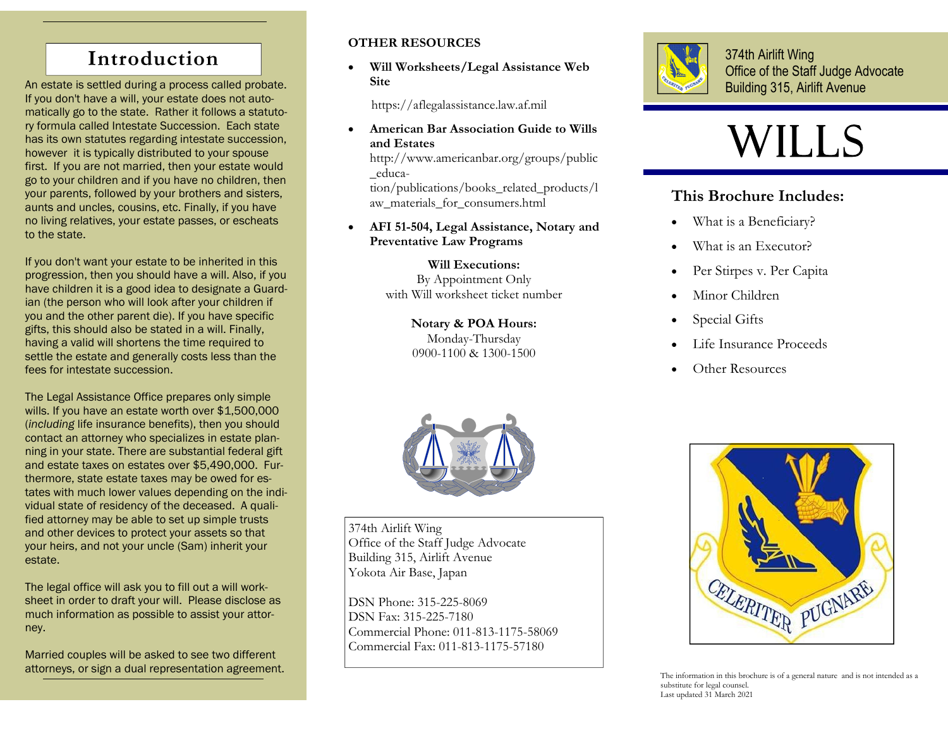## **Introduction**

An estate is settled during a process called probate. If you don't have a will, your estate does not automatically go to the state. Rather it follows a statutory formula called Intestate Succession. Each state has its own statutes regarding intestate succession, however it is typically distributed to your spouse first. If you are not married, then your estate would go to your children and if you have no children, then your parents, followed by your brothers and sisters, aunts and uncles, cousins, etc. Finally, if you have no living relatives, your estate passes, or escheats to the state.

If you don't want your estate to be inherited in this progression, then you should have a will. Also, if you have children it is a good idea to designate a Guardian (the person who will look after your children if you and the other parent die). If you have specific gifts, this should also be stated in a will. Finally, having a valid will shortens the time required to settle the estate and generally costs less than the fees for intestate succession.

The Legal Assistance Office prepares only simple wills. If you have an estate worth over \$1,500,000 (*including* life insurance benefits), then you should contact an attorney who specializes in estate planning in your state. There are substantial federal gift and estate taxes on estates over \$5,490,000. Furthermore, state estate taxes may be owed for estates with much lower values depending on the individual state of residency of the deceased. A qualified attorney may be able to set up simple trusts and other devices to protect your assets so that your heirs, and not your uncle (Sam) inherit your estate.

The legal office will ask you to fill out a will worksheet in order to draft your will. Please disclose as much information as possible to assist your attorney.

Married couples will be asked to see two different attorneys, or sign a dual representation agreement.

#### **OTHER RESOURCES**

 $\bullet$  **Will Worksheets/Legal Assistance Web Site** 

https://aflegalassistance.law.af.mil

 $\bullet$  **American Bar Association Guide to Wills and Estates** 

http://www.americanbar.org/groups/public \_educa-

tion/publications/books\_related\_products/l aw\_materials\_for\_consumers.html

 $\bullet$  **AFI 51-504, Legal Assistance, Notary and Preventative Law Programs** 

> **Will Executions:** By Appointment Only with Will worksheet ticket number

> > **Notary & POA Hours:**  Monday-Thursday 0900-1100 & 1300-1500



374th Airlift Wing Office of the Staff Judge Advocate Building 315, Airlift Avenue

# WIlls

### **This Brochure Includes:**

- $\bullet$ What is a Beneficiary?
- $\bullet$ What is an Executor?
- $\bullet$ Per Stirpes v. Per Capita
- $\bullet$ Minor Children
- $\bullet$ Special Gifts
- $\bullet$ Life Insurance Proceeds
- $\bullet$ Other Resources



374th Airlift Wing Office of the Staff Judge Advocate Building 315, Airlift Avenue Yokota Air Base, Japan

DSN Phone: 315-225-8069 DSN Fax: 315-225-7180 Commercial Phone: 011-813-1175-58069 Commercial Fax: 011-813-1175-57180



The information in this brochure is of a general nature and is not intended as a substitute for legal counsel. Last updated 31 March 2021